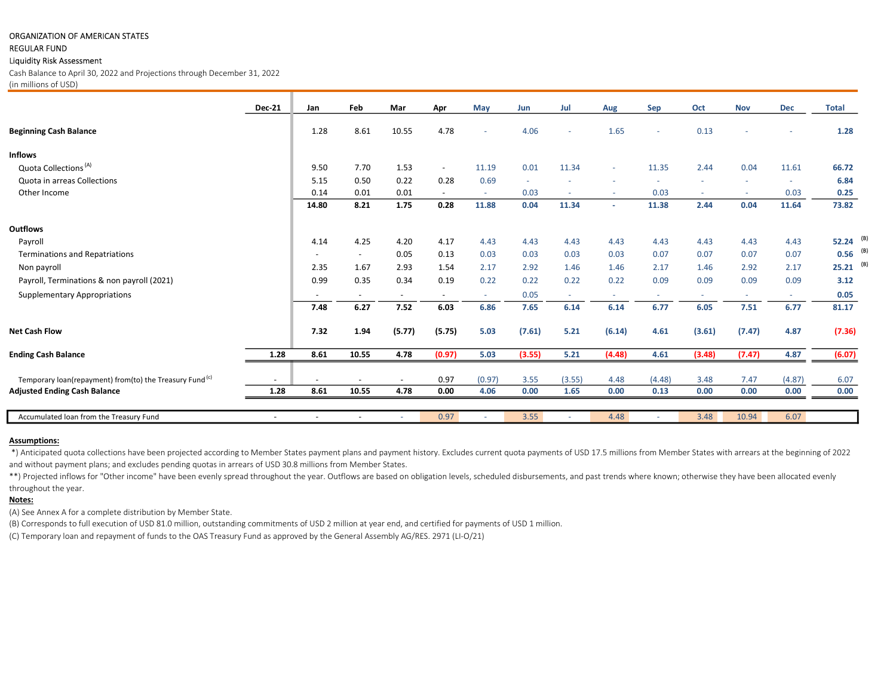## ORGANIZATION OF AMERICAN STATES

## REGULAR FUND

#### Liquidity Risk Assessment

Cash Balance to April 30, 2022 and Projections through December 31, 2022 (in millions of USD)

|                                                                     | <b>Dec-21</b>            | Jan                      | Feb                      | Mar    | Apr                      | <b>May</b> | Jun    | Jul    | Aug    | Sep    | Oct    | <b>Nov</b> | <b>Dec</b> | <b>Total</b> |
|---------------------------------------------------------------------|--------------------------|--------------------------|--------------------------|--------|--------------------------|------------|--------|--------|--------|--------|--------|------------|------------|--------------|
|                                                                     |                          |                          |                          |        |                          |            |        |        |        |        |        |            |            |              |
| <b>Beginning Cash Balance</b>                                       |                          | 1.28                     | 8.61                     | 10.55  | 4.78                     |            | 4.06   | $\sim$ | 1.65   | $\sim$ | 0.13   |            | ٠          | 1.28         |
| <b>Inflows</b>                                                      |                          |                          |                          |        |                          |            |        |        |        |        |        |            |            |              |
| Quota Collections <sup>(A)</sup>                                    |                          | 9.50                     | 7.70                     | 1.53   | $\overline{\phantom{a}}$ | 11.19      | 0.01   | 11.34  | $\sim$ | 11.35  | 2.44   | 0.04       | 11.61      | 66.72        |
| Quota in arreas Collections                                         |                          | 5.15                     | 0.50                     | 0.22   | 0.28                     | 0.69       |        |        |        |        |        |            |            | 6.84         |
| Other Income                                                        |                          | 0.14                     | 0.01                     | 0.01   | $\overline{\phantom{a}}$ | $\sim$     | 0.03   | $\sim$ | $\sim$ | 0.03   | $\sim$ | $\sim$     | 0.03       | 0.25         |
|                                                                     |                          | 14.80                    | 8.21                     | 1.75   | 0.28                     | 11.88      | 0.04   | 11.34  | $\sim$ | 11.38  | 2.44   | 0.04       | 11.64      | 73.82        |
| <b>Outflows</b>                                                     |                          |                          |                          |        |                          |            |        |        |        |        |        |            |            |              |
| Payroll                                                             |                          | 4.14                     | 4.25                     | 4.20   | 4.17                     | 4.43       | 4.43   | 4.43   | 4.43   | 4.43   | 4.43   | 4.43       | 4.43       | (B)<br>52.24 |
| <b>Terminations and Repatriations</b>                               |                          | $\overline{\phantom{a}}$ | $\overline{\phantom{a}}$ | 0.05   | 0.13                     | 0.03       | 0.03   | 0.03   | 0.03   | 0.07   | 0.07   | 0.07       | 0.07       | $0.56$ (B)   |
| Non payroll                                                         |                          | 2.35                     | 1.67                     | 2.93   | 1.54                     | 2.17       | 2.92   | 1.46   | 1.46   | 2.17   | 1.46   | 2.92       | 2.17       | (B)<br>25.21 |
| Payroll, Terminations & non payroll (2021)                          |                          | 0.99                     | 0.35                     | 0.34   | 0.19                     | 0.22       | 0.22   | 0.22   | 0.22   | 0.09   | 0.09   | 0.09       | 0.09       | 3.12         |
| <b>Supplementary Appropriations</b>                                 |                          |                          | $\overline{\phantom{a}}$ | $\sim$ |                          |            | 0.05   |        | $\sim$ | $\sim$ | $\sim$ | $\sim$     | $\sim$     | 0.05         |
|                                                                     |                          | 7.48                     | 6.27                     | 7.52   | 6.03                     | 6.86       | 7.65   | 6.14   | 6.14   | 6.77   | 6.05   | 7.51       | 6.77       | 81.17        |
| <b>Net Cash Flow</b>                                                |                          | 7.32                     | 1.94                     | (5.77) | (5.75)                   | 5.03       | (7.61) | 5.21   | (6.14) | 4.61   | (3.61) | (7.47)     | 4.87       | (7.36)       |
| <b>Ending Cash Balance</b>                                          | 1.28                     | 8.61                     | 10.55                    | 4.78   | (0.97)                   | 5.03       | (3.55) | 5.21   | (4.48) | 4.61   | (3.48) | (7.47)     | 4.87       | (6.07)       |
| Temporary loan(repayment) from(to) the Treasury Fund <sup>(c)</sup> |                          |                          |                          |        | 0.97                     | (0.97)     | 3.55   | (3.55) | 4.48   | (4.48) | 3.48   | 7.47       | (4.87)     | 6.07         |
| <b>Adjusted Ending Cash Balance</b>                                 | 1.28                     | 8.61                     | 10.55                    | 4.78   | 0.00                     | 4.06       | 0.00   | 1.65   | 0.00   | 0.13   | 0.00   | 0.00       | 0.00       | 0.00         |
|                                                                     |                          |                          |                          |        |                          |            |        |        |        |        |        |            |            |              |
| Accumulated Ioan from the Treasury Fund                             | $\overline{\phantom{a}}$ | $\overline{\phantom{a}}$ | $\overline{\phantom{a}}$ |        | 0.97                     |            | 3.55   |        | 4.48   |        | 3.48   | 10.94      | 6.07       |              |

## Assumptions:

 \*) Anticipated quota collections have been projected according to Member States payment plans and payment history. Excludes current quota payments of USD 17.5 millions from Member States with arrears at the beginning of 2022 and without payment plans; and excludes pending quotas in arrears of USD 30.8 millions from Member States.

\*\*) Projected inflows for "Other income" have been evenly spread throughout the year. Outflows are based on obligation levels, scheduled disbursements, and past trends where known; otherwise they have been allocated evenly throughout the year.

## Notes:

(A) See Annex A for a complete distribution by Member State.

(B) Corresponds to full execution of USD 81.0 million, outstanding commitments of USD 2 million at year end, and certified for payments of USD 1 million.

(C) Temporary loan and repayment of funds to the OAS Treasury Fund as approved by the General Assembly AG/RES. 2971 (LI-O/21)